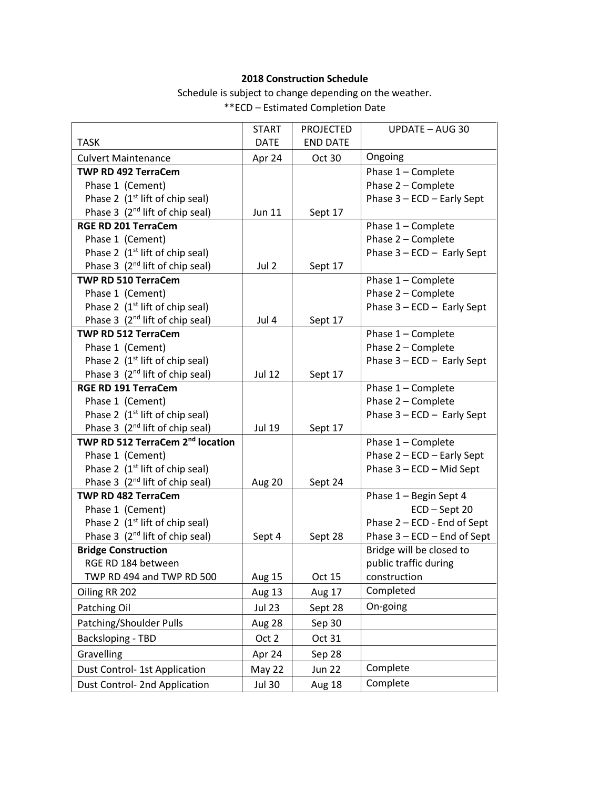## **2018 Construction Schedule**

Schedule is subject to change depending on the weather.

\*\*ECD – Estimated Completion Date

| <b>TASK</b>                                  | <b>START</b><br><b>DATE</b> | <b>PROJECTED</b><br><b>END DATE</b> | <b>UPDATE - AUG 30</b>      |
|----------------------------------------------|-----------------------------|-------------------------------------|-----------------------------|
| <b>Culvert Maintenance</b>                   | Apr 24                      | Oct 30                              | Ongoing                     |
| TWP RD 492 TerraCem                          |                             |                                     | Phase 1 - Complete          |
| Phase 1 (Cement)                             |                             |                                     | Phase 2 - Complete          |
| Phase 2 (1 <sup>st</sup> lift of chip seal)  |                             |                                     | Phase 3 - ECD - Early Sept  |
| Phase 3 (2 <sup>nd</sup> lift of chip seal)  | Jun 11                      | Sept 17                             |                             |
| <b>RGE RD 201 TerraCem</b>                   |                             |                                     | Phase 1 - Complete          |
| Phase 1 (Cement)                             |                             |                                     | Phase 2 - Complete          |
| Phase 2 (1 <sup>st</sup> lift of chip seal)  |                             |                                     | Phase 3 - ECD - Early Sept  |
| Phase 3 (2 <sup>nd</sup> lift of chip seal)  | Jul 2                       | Sept 17                             |                             |
| <b>TWP RD 510 TerraCem</b>                   |                             |                                     | Phase 1 - Complete          |
| Phase 1 (Cement)                             |                             |                                     | Phase 2 - Complete          |
| Phase 2 (1 <sup>st</sup> lift of chip seal)  |                             |                                     | Phase 3 - ECD - Early Sept  |
| Phase 3 (2 <sup>nd</sup> lift of chip seal)  | Jul 4                       | Sept 17                             |                             |
| <b>TWP RD 512 TerraCem</b>                   |                             |                                     | Phase 1 - Complete          |
| Phase 1 (Cement)                             |                             |                                     | Phase 2 - Complete          |
| Phase 2 (1 <sup>st</sup> lift of chip seal)  |                             |                                     | Phase 3 - ECD - Early Sept  |
| Phase 3 (2 <sup>nd</sup> lift of chip seal)  | Jul 12                      | Sept 17                             |                             |
| <b>RGE RD 191 TerraCem</b>                   |                             |                                     | Phase 1 - Complete          |
| Phase 1 (Cement)                             |                             |                                     | Phase 2 - Complete          |
| Phase 2 (1 <sup>st</sup> lift of chip seal)  |                             |                                     | Phase 3 - ECD - Early Sept  |
| Phase 3 (2 <sup>nd</sup> lift of chip seal)  | Jul 19                      | Sept 17                             |                             |
| TWP RD 512 TerraCem 2 <sup>nd</sup> location |                             |                                     | Phase 1 - Complete          |
| Phase 1 (Cement)                             |                             |                                     | Phase 2 - ECD - Early Sept  |
| Phase 2 (1 <sup>st</sup> lift of chip seal)  |                             |                                     | Phase 3 - ECD - Mid Sept    |
| Phase 3 (2 <sup>nd</sup> lift of chip seal)  | Aug 20                      | Sept 24                             |                             |
| TWP RD 482 TerraCem                          |                             |                                     | Phase 1 - Begin Sept 4      |
| Phase 1 (Cement)                             |                             |                                     | $ECD - Sept 20$             |
| Phase 2 (1 <sup>st</sup> lift of chip seal)  |                             |                                     | Phase 2 - ECD - End of Sept |
| Phase 3 (2 <sup>nd</sup> lift of chip seal)  | Sept 4                      | Sept 28                             | Phase 3 - ECD - End of Sept |
| <b>Bridge Construction</b>                   |                             |                                     | Bridge will be closed to    |
| RGE RD 184 between                           |                             |                                     | public traffic during       |
| TWP RD 494 and TWP RD 500                    | Aug 15                      | Oct 15                              | construction                |
| Oiling RR 202                                | Aug 13                      | Aug 17                              | Completed                   |
| Patching Oil                                 | <b>Jul 23</b>               | Sept 28                             | On-going                    |
| Patching/Shoulder Pulls                      | Aug 28                      | Sep 30                              |                             |
| Backsloping - TBD                            | Oct 2                       | Oct 31                              |                             |
| Gravelling                                   | Apr 24                      | Sep 28                              |                             |
| Dust Control- 1st Application                | May 22                      | <b>Jun 22</b>                       | Complete                    |
| Dust Control- 2nd Application                | <b>Jul 30</b>               | Aug 18                              | Complete                    |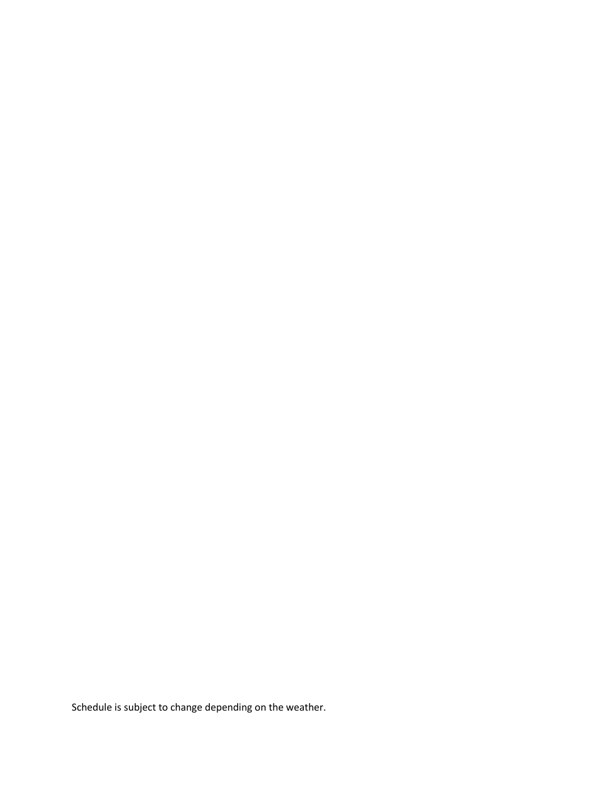Schedule is subject to change depending on the weather.